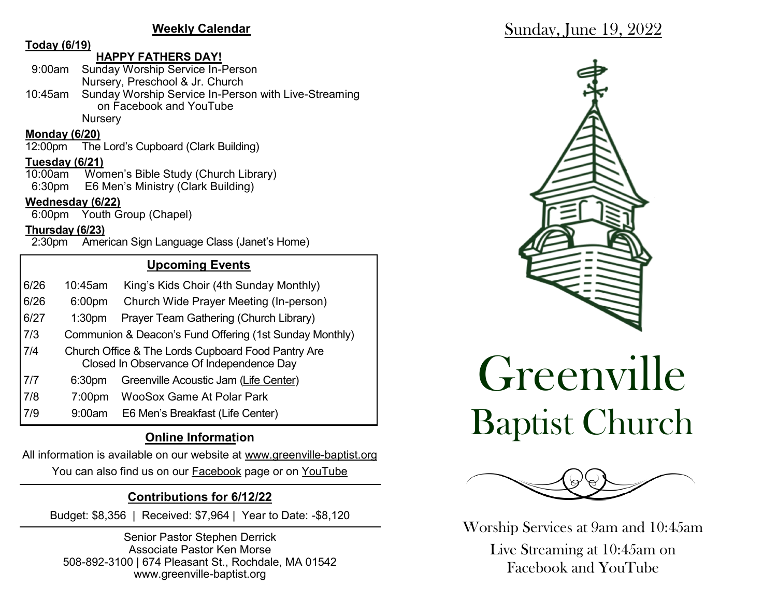#### **Weekly Calendar**

#### **Today (6/19)**

#### **HAPPY FATHERS DAY!**

| 9:00am Sunday Worship Service In-Person                      |
|--------------------------------------------------------------|
| Nursery, Preschool & Jr. Church                              |
| 10:45am Sunday Worship Service In-Person with Live-Streaming |
| on Facebook and YouTube                                      |
| <b>Nursery</b>                                               |

# **Monday (6/20)**

The Lord's Cupboard (Clark Building)

# **Tuesday (6/21)**

Women's Bible Study (Church Library) 6:30pm E6 Men's Ministry (Clark Building)

#### **Wednesday (6/22)**

6:00pm Youth Group (Chapel)

#### **Thursday (6/23)**

2:30pm American Sign Language Class (Janet's Home)

## **Upcoming Events**

- 6/26 10:45am King's Kids Choir (4th Sunday Monthly)
- 6/26 6:00pm Church Wide Prayer Meeting (In-person)
- 6/27 1:30pm Prayer Team Gathering (Church Library)
- 7/3 Communion & Deacon's Fund Offering (1st Sunday Monthly)
- 7/4 Church Office & The Lords Cupboard Food Pantry Are Closed In Observance Of Independence Day
- 7/7 6:30pm Greenville Acoustic Jam (Life Center)
- 7/8 7:00pm WooSox Game At Polar Park
- 7/9 9:00am E6 Men's Breakfast (Life Center)

# **Online Information**

All information is available on our website at www.greenville-baptist.org You can also find us on our **Facebook** page or on YouTube

# **Contributions for 6/12/22**

Budget: \$8,356 | Received: \$7,964 | Year to Date: -\$8,120

Senior Pastor Stephen Derrick Associate Pastor Ken Morse 508-892-3100 | 674 Pleasant St., Rochdale, MA 01542 www.greenville-baptist.org



# Greenville Baptist Church



Worship Services at 9am and 10:45am

Live Streaming at 10:45am on Facebook and YouTube